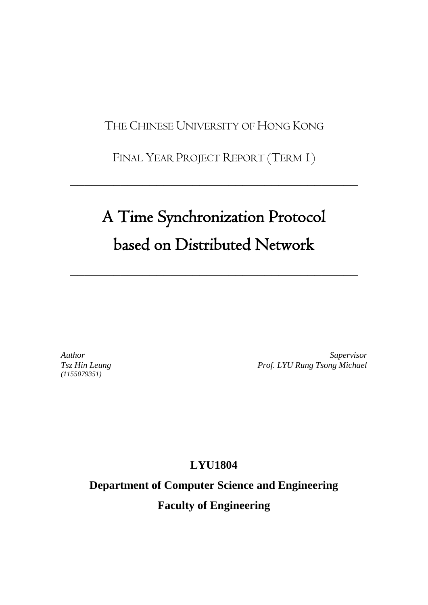THE CHINESE UNIVERSITY OF HONG KONG

FINAL YEAR PROJECT REPORT (TERM 1)

 $\overline{\phantom{a}}$  , and the contract of the contract of the contract of the contract of the contract of the contract of the contract of the contract of the contract of the contract of the contract of the contract of the contrac

# A Time Synchronization Protocol based on Distributed Network

 $\overline{\phantom{a}}$  , and the contract of the contract of the contract of the contract of the contract of the contract of the contract of the contract of the contract of the contract of the contract of the contract of the contrac

*Author Tsz Hin Leung (1155079351)*

*Supervisor Prof. LYU Rung Tsong Michael*

**LYU1804**

**Department of Computer Science and Engineering Faculty of Engineering**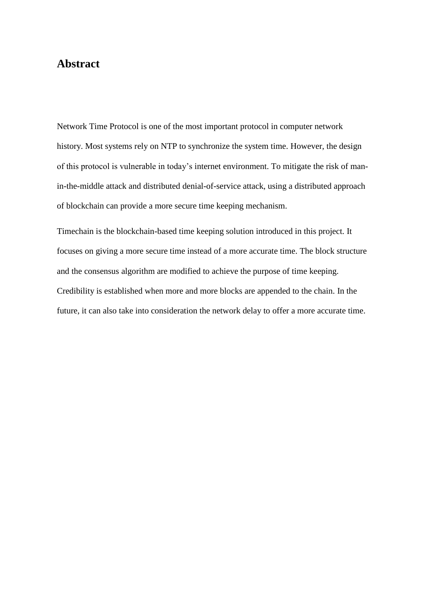# **Abstract**

Network Time Protocol is one of the most important protocol in computer network history. Most systems rely on NTP to synchronize the system time. However, the design of this protocol is vulnerable in today's internet environment. To mitigate the risk of manin-the-middle attack and distributed denial-of-service attack, using a distributed approach of blockchain can provide a more secure time keeping mechanism.

Timechain is the blockchain-based time keeping solution introduced in this project. It focuses on giving a more secure time instead of a more accurate time. The block structure and the consensus algorithm are modified to achieve the purpose of time keeping. Credibility is established when more and more blocks are appended to the chain. In the future, it can also take into consideration the network delay to offer a more accurate time.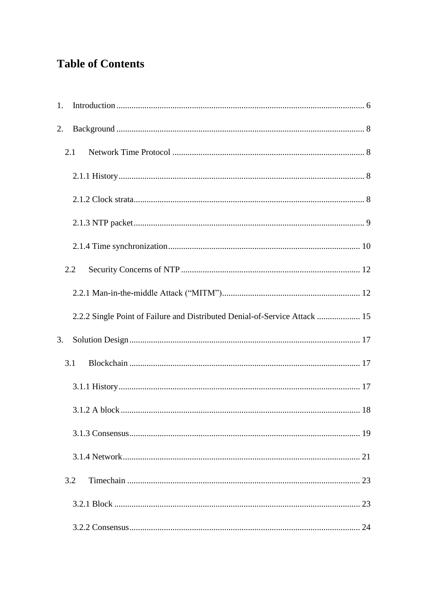# **Table of Contents**

| 1. |     |                                                                            |  |
|----|-----|----------------------------------------------------------------------------|--|
| 2. |     |                                                                            |  |
|    | 2.1 |                                                                            |  |
|    |     |                                                                            |  |
|    |     |                                                                            |  |
|    |     |                                                                            |  |
|    |     |                                                                            |  |
|    | 2.2 |                                                                            |  |
|    |     |                                                                            |  |
|    |     | 2.2.2 Single Point of Failure and Distributed Denial-of-Service Attack  15 |  |
| 3. |     |                                                                            |  |
|    | 3.1 |                                                                            |  |
|    |     |                                                                            |  |
|    |     |                                                                            |  |
|    |     |                                                                            |  |
|    |     |                                                                            |  |
|    | 3.2 |                                                                            |  |
|    |     |                                                                            |  |
|    |     |                                                                            |  |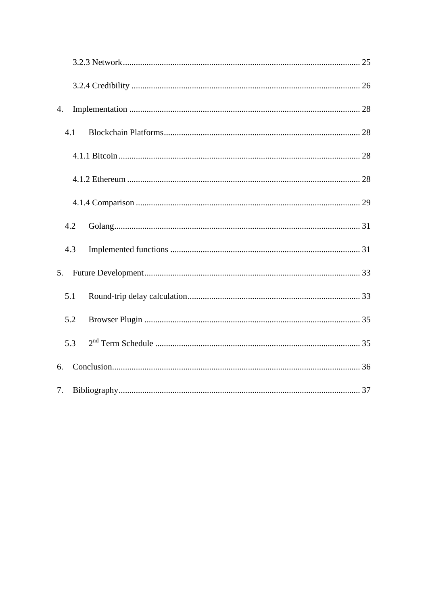| 4.             |  |  |
|----------------|--|--|
| 4.1            |  |  |
|                |  |  |
|                |  |  |
|                |  |  |
| 4.2            |  |  |
| 4.3            |  |  |
| 5 <sub>1</sub> |  |  |
| 5.1            |  |  |
| 5.2            |  |  |
| 5.3            |  |  |
| 6.             |  |  |
| 7.             |  |  |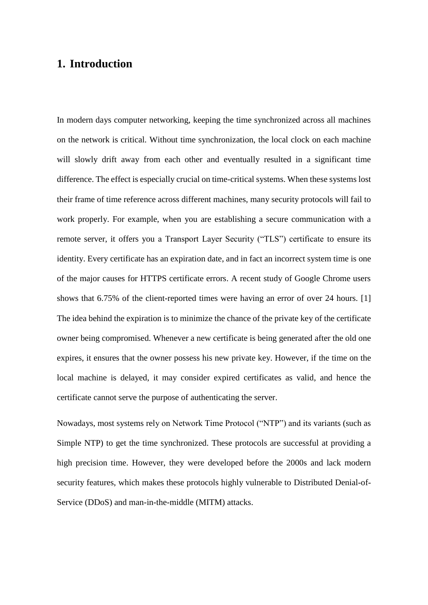# <span id="page-5-0"></span>**1. Introduction**

In modern days computer networking, keeping the time synchronized across all machines on the network is critical. Without time synchronization, the local clock on each machine will slowly drift away from each other and eventually resulted in a significant time difference. The effect is especially crucial on time-critical systems. When these systems lost their frame of time reference across different machines, many security protocols will fail to work properly. For example, when you are establishing a secure communication with a remote server, it offers you a Transport Layer Security ("TLS") certificate to ensure its identity. Every certificate has an expiration date, and in fact an incorrect system time is one of the major causes for HTTPS certificate errors. A recent study of Google Chrome users shows that 6.75% of the client-reported times were having an error of over 24 hours. [1] The idea behind the expiration is to minimize the chance of the private key of the certificate owner being compromised. Whenever a new certificate is being generated after the old one expires, it ensures that the owner possess his new private key. However, if the time on the local machine is delayed, it may consider expired certificates as valid, and hence the certificate cannot serve the purpose of authenticating the server.

Nowadays, most systems rely on Network Time Protocol ("NTP") and its variants (such as Simple NTP) to get the time synchronized. These protocols are successful at providing a high precision time. However, they were developed before the 2000s and lack modern security features, which makes these protocols highly vulnerable to Distributed Denial-of-Service (DDoS) and man-in-the-middle (MITM) attacks.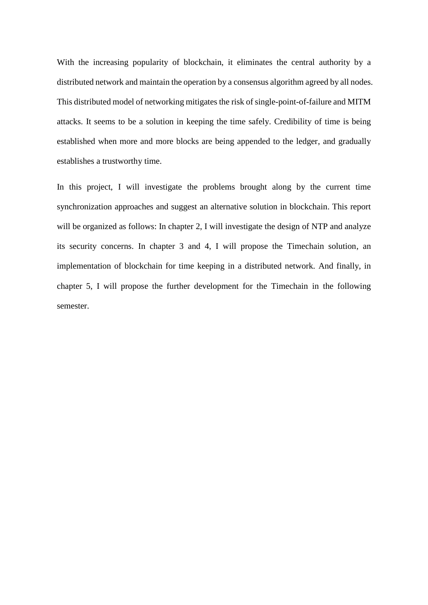With the increasing popularity of blockchain, it eliminates the central authority by a distributed network and maintain the operation by a consensus algorithm agreed by all nodes. This distributed model of networking mitigates the risk of single-point-of-failure and MITM attacks. It seems to be a solution in keeping the time safely. Credibility of time is being established when more and more blocks are being appended to the ledger, and gradually establishes a trustworthy time.

In this project, I will investigate the problems brought along by the current time synchronization approaches and suggest an alternative solution in blockchain. This report will be organized as follows: In chapter 2, I will investigate the design of NTP and analyze its security concerns. In chapter 3 and 4, I will propose the Timechain solution, an implementation of blockchain for time keeping in a distributed network. And finally, in chapter 5, I will propose the further development for the Timechain in the following semester.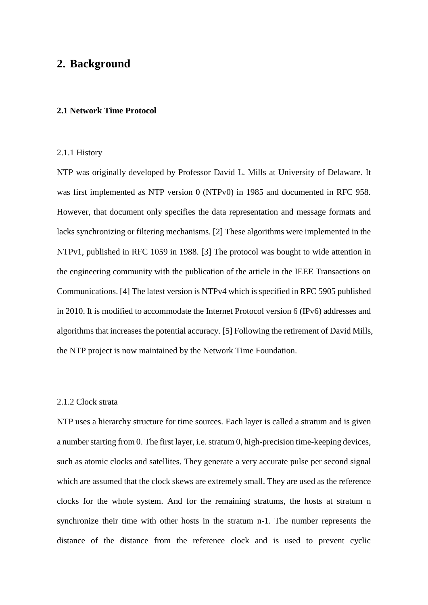# <span id="page-7-0"></span>**2. Background**

#### <span id="page-7-1"></span>**2.1 Network Time Protocol**

#### <span id="page-7-2"></span>2.1.1 History

NTP was originally developed by Professor David L. Mills at University of Delaware. It was first implemented as NTP version 0 (NTPv0) in 1985 and documented in RFC 958. However, that document only specifies the data representation and message formats and lacks synchronizing or filtering mechanisms. [2] These algorithms were implemented in the NTPv1, published in RFC 1059 in 1988. [3] The protocol was bought to wide attention in the engineering community with the publication of the article in the IEEE Transactions on Communications. [4] The latest version is NTPv4 which is specified in RFC 5905 published in 2010. It is modified to accommodate the Internet Protocol version 6 (IPv6) addresses and algorithms that increases the potential accuracy. [5] Following the retirement of David Mills, the NTP project is now maintained by the Network Time Foundation.

## <span id="page-7-3"></span>2.1.2 Clock strata

NTP uses a hierarchy structure for time sources. Each layer is called a stratum and is given a number starting from 0. The first layer, i.e. stratum 0, high-precision time-keeping devices, such as atomic clocks and satellites. They generate a very accurate pulse per second signal which are assumed that the clock skews are extremely small. They are used as the reference clocks for the whole system. And for the remaining stratums, the hosts at stratum n synchronize their time with other hosts in the stratum n-1. The number represents the distance of the distance from the reference clock and is used to prevent cyclic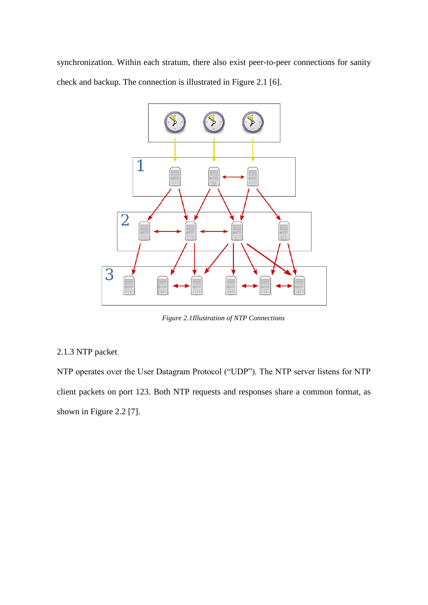synchronization. Within each stratum, there also exist peer-to-peer connections for sanity check and backup. The connection is illustrated in Figure 2.1 [6].



*Figure 2.1Illustration of NTP Connections*

# <span id="page-8-0"></span>2.1.3 NTP packet

NTP operates over the User Datagram Protocol ("UDP"). The NTP server listens for NTP client packets on port 123. Both NTP requests and responses share a common format, as shown in Figure 2.2 [7].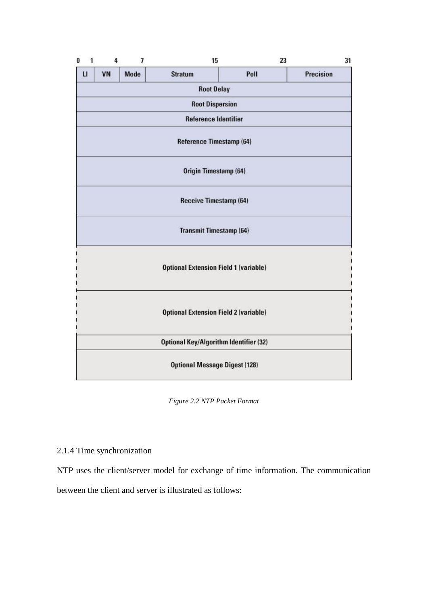| 1<br>0                      | 4                        | 7           | 15                                            |      | 31<br>23         |  |
|-----------------------------|--------------------------|-------------|-----------------------------------------------|------|------------------|--|
| $\mathbf{u}$                | VN                       | <b>Mode</b> | <b>Stratum</b>                                | Poll | <b>Precision</b> |  |
|                             |                          |             | <b>Root Delay</b>                             |      |                  |  |
|                             |                          |             | <b>Root Dispersion</b>                        |      |                  |  |
| <b>Reference Identifier</b> |                          |             |                                               |      |                  |  |
|                             | Reference Timestamp (64) |             |                                               |      |                  |  |
|                             | Origin Timestamp (64)    |             |                                               |      |                  |  |
|                             |                          |             | <b>Receive Timestamp (64)</b>                 |      |                  |  |
|                             |                          |             | <b>Transmit Timestamp (64)</b>                |      |                  |  |
|                             |                          |             | <b>Optional Extension Field 1 (variable)</b>  |      |                  |  |
|                             |                          |             | <b>Optional Extension Field 2 (variable)</b>  |      |                  |  |
|                             |                          |             | <b>Optional Key/Algorithm Identifier (32)</b> |      |                  |  |
|                             |                          |             | <b>Optional Message Digest (128)</b>          |      |                  |  |

*Figure 2.2 NTP Packet Format*

# <span id="page-9-0"></span>2.1.4 Time synchronization

NTP uses the client/server model for exchange of time information. The communication between the client and server is illustrated as follows: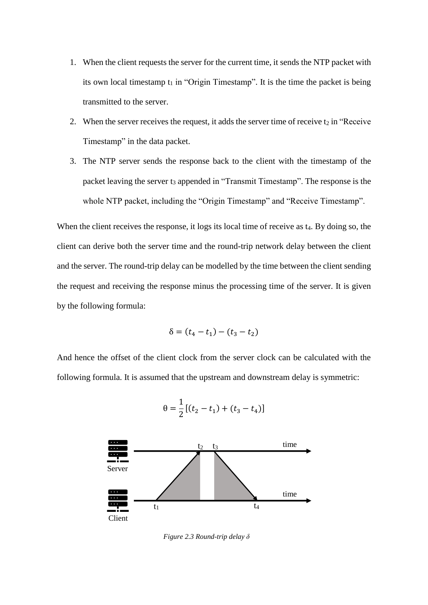- 1. When the client requests the server for the current time, it sends the NTP packet with its own local timestamp  $t_1$  in "Origin Timestamp". It is the time the packet is being transmitted to the server.
- 2. When the server receives the request, it adds the server time of receive  $t_2$  in "Receive" Timestamp" in the data packet.
- 3. The NTP server sends the response back to the client with the timestamp of the packet leaving the server t<sub>3</sub> appended in "Transmit Timestamp". The response is the whole NTP packet, including the "Origin Timestamp" and "Receive Timestamp".

When the client receives the response, it logs its local time of receive as t<sub>4</sub>. By doing so, the client can derive both the server time and the round-trip network delay between the client and the server. The round-trip delay can be modelled by the time between the client sending the request and receiving the response minus the processing time of the server. It is given by the following formula:

$$
\delta = (t_4 - t_1) - (t_3 - t_2)
$$

And hence the offset of the client clock from the server clock can be calculated with the following formula. It is assumed that the upstream and downstream delay is symmetric:



$$
\theta = \frac{1}{2} \left[ (t_2 - t_1) + (t_3 - t_4) \right]
$$

*Figure 2.3 Round-trip delay δ*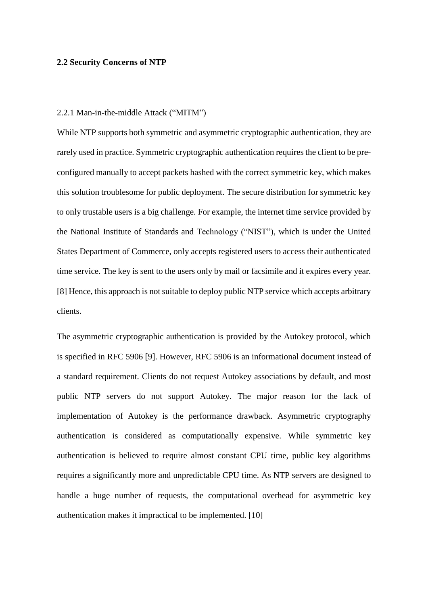#### <span id="page-11-0"></span>**2.2 Security Concerns of NTP**

#### <span id="page-11-1"></span>2.2.1 Man-in-the-middle Attack ("MITM")

While NTP supports both symmetric and asymmetric cryptographic authentication, they are rarely used in practice. Symmetric cryptographic authentication requires the client to be preconfigured manually to accept packets hashed with the correct symmetric key, which makes this solution troublesome for public deployment. The secure distribution for symmetric key to only trustable users is a big challenge. For example, the internet time service provided by the National Institute of Standards and Technology ("NIST"), which is under the United States Department of Commerce, only accepts registered users to access their authenticated time service. The key is sent to the users only by mail or facsimile and it expires every year. [8] Hence, this approach is not suitable to deploy public NTP service which accepts arbitrary clients.

The asymmetric cryptographic authentication is provided by the Autokey protocol, which is specified in RFC 5906 [9]. However, RFC 5906 is an informational document instead of a standard requirement. Clients do not request Autokey associations by default, and most public NTP servers do not support Autokey. The major reason for the lack of implementation of Autokey is the performance drawback. Asymmetric cryptography authentication is considered as computationally expensive. While symmetric key authentication is believed to require almost constant CPU time, public key algorithms requires a significantly more and unpredictable CPU time. As NTP servers are designed to handle a huge number of requests, the computational overhead for asymmetric key authentication makes it impractical to be implemented. [10]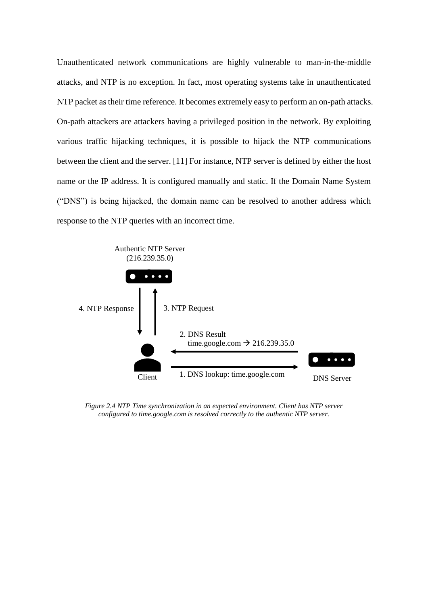Unauthenticated network communications are highly vulnerable to man-in-the-middle attacks, and NTP is no exception. In fact, most operating systems take in unauthenticated NTP packet as their time reference. It becomes extremely easy to perform an on-path attacks. On-path attackers are attackers having a privileged position in the network. By exploiting various traffic hijacking techniques, it is possible to hijack the NTP communications between the client and the server. [11] For instance, NTP server is defined by either the host name or the IP address. It is configured manually and static. If the Domain Name System ("DNS") is being hijacked, the domain name can be resolved to another address which response to the NTP queries with an incorrect time.



*Figure 2.4 NTP Time synchronization in an expected environment. Client has NTP server configured to time.google.com is resolved correctly to the authentic NTP server.*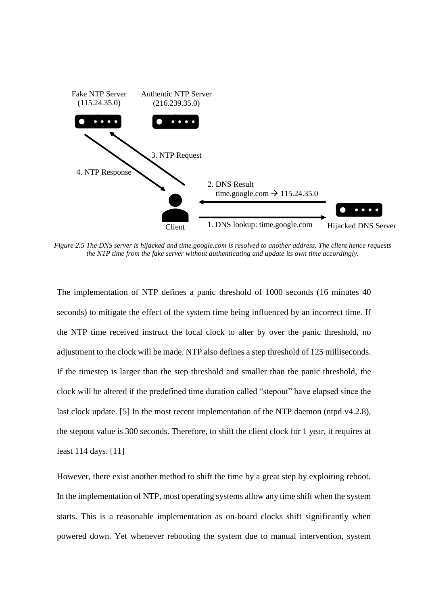

*Figure 2.5 The DNS server is hijacked and time.google.com is resolved to another address. The client hence requests the NTP time from the fake server without authenticating and update its own time accordingly.*

The implementation of NTP defines a panic threshold of 1000 seconds (16 minutes 40 seconds) to mitigate the effect of the system time being influenced by an incorrect time. If the NTP time received instruct the local clock to alter by over the panic threshold, no adjustment to the clock will be made. NTP also defines a step threshold of 125 milliseconds. If the timestep is larger than the step threshold and smaller than the panic threshold, the clock will be altered if the predefined time duration called "stepout" have elapsed since the last clock update. [5] In the most recent implementation of the NTP daemon (ntpd v4.2.8), the stepout value is 300 seconds. Therefore, to shift the client clock for 1 year, it requires at least 114 days. [11]

However, there exist another method to shift the time by a great step by exploiting reboot. In the implementation of NTP, most operating systems allow any time shift when the system starts. This is a reasonable implementation as on-board clocks shift significantly when powered down. Yet whenever rebooting the system due to manual intervention, system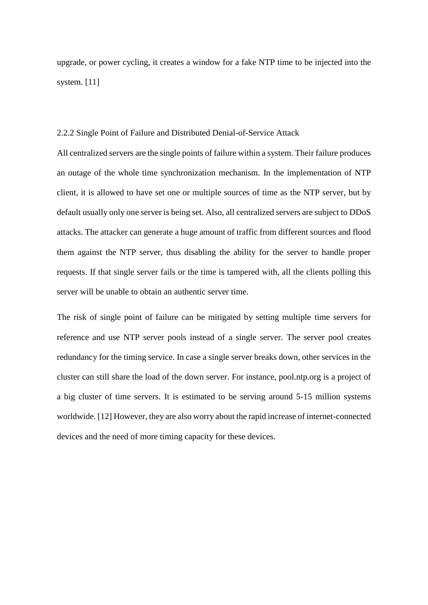upgrade, or power cycling, it creates a window for a fake NTP time to be injected into the system. [11]

#### <span id="page-14-0"></span>2.2.2 Single Point of Failure and Distributed Denial-of-Service Attack

All centralized servers are the single points of failure within a system. Their failure produces an outage of the whole time synchronization mechanism. In the implementation of NTP client, it is allowed to have set one or multiple sources of time as the NTP server, but by default usually only one server is being set. Also, all centralized servers are subject to DDoS attacks. The attacker can generate a huge amount of traffic from different sources and flood them against the NTP server, thus disabling the ability for the server to handle proper requests. If that single server fails or the time is tampered with, all the clients polling this server will be unable to obtain an authentic server time.

The risk of single point of failure can be mitigated by setting multiple time servers for reference and use NTP server pools instead of a single server. The server pool creates redundancy for the timing service. In case a single server breaks down, other services in the cluster can still share the load of the down server. For instance, pool.ntp.org is a project of a big cluster of time servers. It is estimated to be serving around 5-15 million systems worldwide. [12] However, they are also worry about the rapid increase of internet-connected devices and the need of more timing capacity for these devices.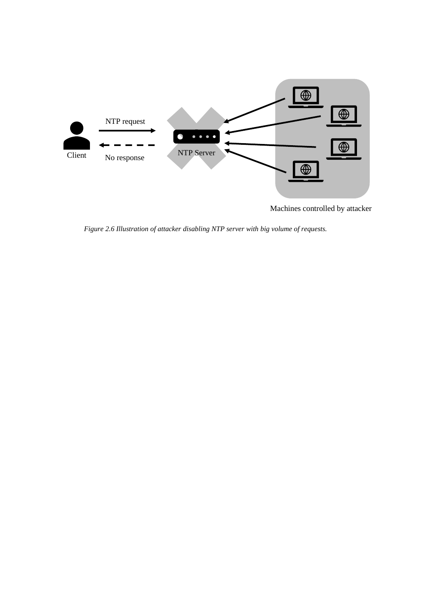

Machines controlled by attacker

*Figure 2.6 Illustration of attacker disabling NTP server with big volume of requests.*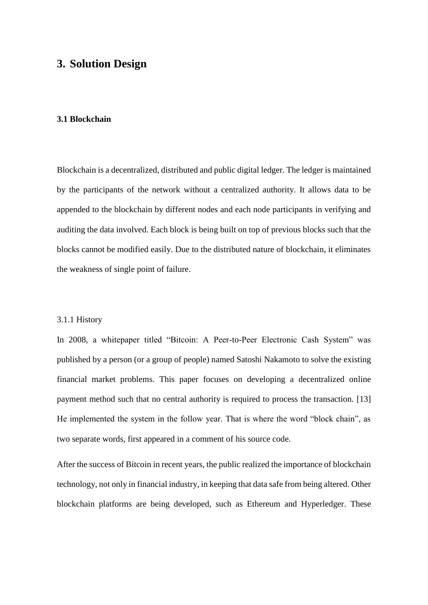# <span id="page-16-0"></span>**3. Solution Design**

#### <span id="page-16-1"></span>**3.1 Blockchain**

Blockchain is a decentralized, distributed and public digital ledger. The ledger is maintained by the participants of the network without a centralized authority. It allows data to be appended to the blockchain by different nodes and each node participants in verifying and auditing the data involved. Each block is being built on top of previous blocks such that the blocks cannot be modified easily. Due to the distributed nature of blockchain, it eliminates the weakness of single point of failure.

## <span id="page-16-2"></span>3.1.1 History

In 2008, a whitepaper titled "Bitcoin: A Peer-to-Peer Electronic Cash System" was published by a person (or a group of people) named Satoshi Nakamoto to solve the existing financial market problems. This paper focuses on developing a decentralized online payment method such that no central authority is required to process the transaction. [13] He implemented the system in the follow year. That is where the word "block chain", as two separate words, first appeared in a comment of his source code.

After the success of Bitcoin in recent years, the public realized the importance of blockchain technology, not only in financial industry, in keeping that data safe from being altered. Other blockchain platforms are being developed, such as Ethereum and Hyperledger. These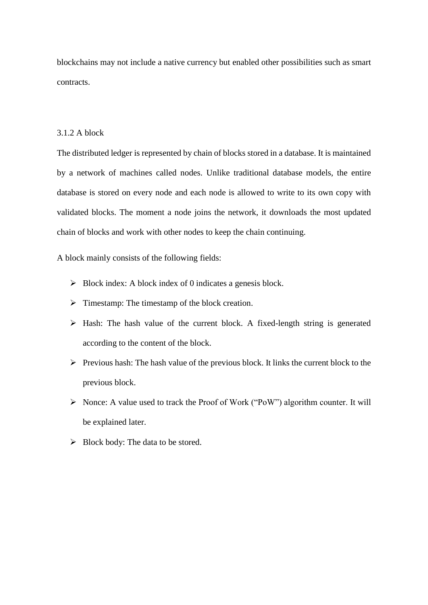blockchains may not include a native currency but enabled other possibilities such as smart contracts.

# <span id="page-17-0"></span>3.1.2 A block

The distributed ledger is represented by chain of blocks stored in a database. It is maintained by a network of machines called nodes. Unlike traditional database models, the entire database is stored on every node and each node is allowed to write to its own copy with validated blocks. The moment a node joins the network, it downloads the most updated chain of blocks and work with other nodes to keep the chain continuing.

A block mainly consists of the following fields:

- $\triangleright$  Block index: A block index of 0 indicates a genesis block.
- ➢ Timestamp: The timestamp of the block creation.
- ➢ Hash: The hash value of the current block. A fixed-length string is generated according to the content of the block.
- $\triangleright$  Previous hash: The hash value of the previous block. It links the current block to the previous block.
- ➢ Nonce: A value used to track the Proof of Work ("PoW") algorithm counter. It will be explained later.
- $\triangleright$  Block body: The data to be stored.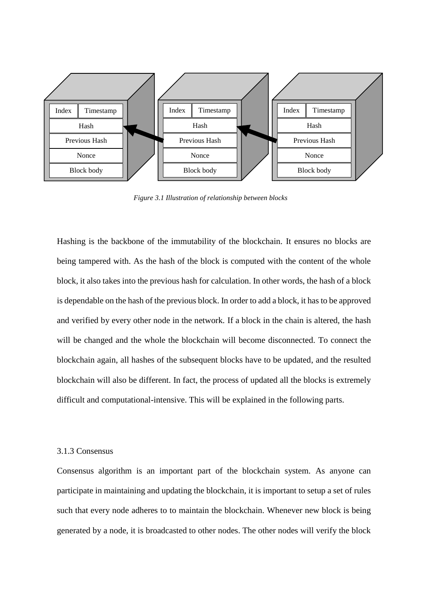

*Figure 3.1 Illustration of relationship between blocks*

Hashing is the backbone of the immutability of the blockchain. It ensures no blocks are being tampered with. As the hash of the block is computed with the content of the whole block, it also takes into the previous hash for calculation. In other words, the hash of a block is dependable on the hash of the previous block. In order to add a block, it has to be approved and verified by every other node in the network. If a block in the chain is altered, the hash will be changed and the whole the blockchain will become disconnected. To connect the blockchain again, all hashes of the subsequent blocks have to be updated, and the resulted blockchain will also be different. In fact, the process of updated all the blocks is extremely difficult and computational-intensive. This will be explained in the following parts.

#### <span id="page-18-0"></span>3.1.3 Consensus

Consensus algorithm is an important part of the blockchain system. As anyone can participate in maintaining and updating the blockchain, it is important to setup a set of rules such that every node adheres to to maintain the blockchain. Whenever new block is being generated by a node, it is broadcasted to other nodes. The other nodes will verify the block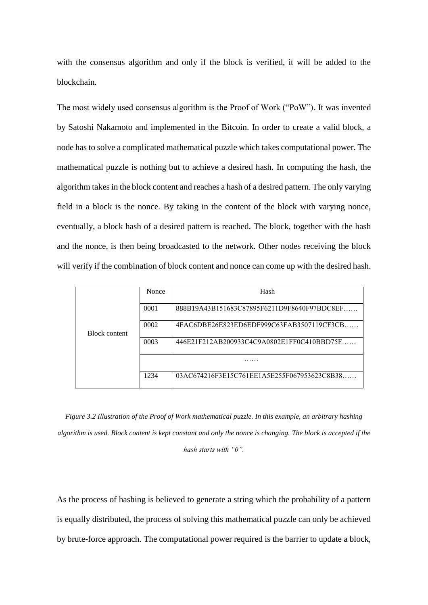with the consensus algorithm and only if the block is verified, it will be added to the blockchain.

The most widely used consensus algorithm is the Proof of Work ("PoW"). It was invented by Satoshi Nakamoto and implemented in the Bitcoin. In order to create a valid block, a node has to solve a complicated mathematical puzzle which takes computational power. The mathematical puzzle is nothing but to achieve a desired hash. In computing the hash, the algorithm takes in the block content and reaches a hash of a desired pattern. The only varying field in a block is the nonce. By taking in the content of the block with varying nonce, eventually, a block hash of a desired pattern is reached. The block, together with the hash and the nonce, is then being broadcasted to the network. Other nodes receiving the block will verify if the combination of block content and nonce can come up with the desired hash.

|                      | Nonce | Hash                                        |  |
|----------------------|-------|---------------------------------------------|--|
|                      | 0001  | 888B19A43B151683C87895F6211D9F8640F97BDC8EF |  |
| <b>Block content</b> | 0002  | 4FAC6DBE26E823ED6EDF999C63FAB3507119CF3CB   |  |
|                      | 0003  | 446E21F212AB200933C4C9A0802E1FF0C410BBD75F  |  |
|                      | .     |                                             |  |
|                      | 1234  | 03AC674216F3E15C761EE1A5E255F067953623C8B38 |  |

*Figure 3.2 Illustration of the Proof of Work mathematical puzzle. In this example, an arbitrary hashing algorithm is used. Block content is kept constant and only the nonce is changing. The block is accepted if the hash starts with "0".*

As the process of hashing is believed to generate a string which the probability of a pattern is equally distributed, the process of solving this mathematical puzzle can only be achieved by brute-force approach. The computational power required is the barrier to update a block,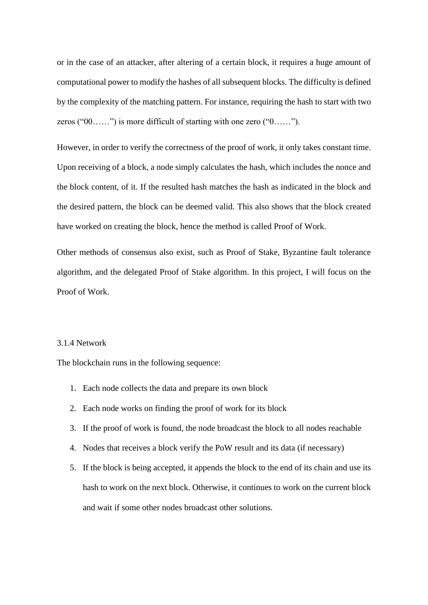or in the case of an attacker, after altering of a certain block, it requires a huge amount of computational power to modify the hashes of all subsequent blocks. The difficulty is defined by the complexity of the matching pattern. For instance, requiring the hash to start with two zeros ("00……") is more difficult of starting with one zero ("0……").

However, in order to verify the correctness of the proof of work, it only takes constant time. Upon receiving of a block, a node simply calculates the hash, which includes the nonce and the block content, of it. If the resulted hash matches the hash as indicated in the block and the desired pattern, the block can be deemed valid. This also shows that the block created have worked on creating the block, hence the method is called Proof of Work.

Other methods of consensus also exist, such as Proof of Stake, Byzantine fault tolerance algorithm, and the delegated Proof of Stake algorithm. In this project, I will focus on the Proof of Work.

## <span id="page-20-0"></span>3.1.4 Network

The blockchain runs in the following sequence:

- 1. Each node collects the data and prepare its own block
- 2. Each node works on finding the proof of work for its block
- 3. If the proof of work is found, the node broadcast the block to all nodes reachable
- 4. Nodes that receives a block verify the PoW result and its data (if necessary)
- 5. If the block is being accepted, it appends the block to the end of its chain and use its hash to work on the next block. Otherwise, it continues to work on the current block and wait if some other nodes broadcast other solutions.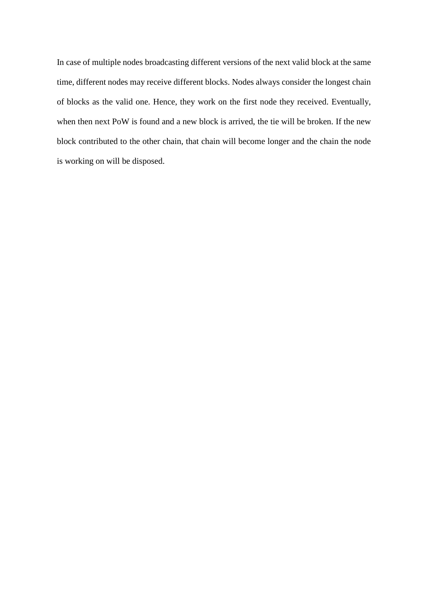In case of multiple nodes broadcasting different versions of the next valid block at the same time, different nodes may receive different blocks. Nodes always consider the longest chain of blocks as the valid one. Hence, they work on the first node they received. Eventually, when then next PoW is found and a new block is arrived, the tie will be broken. If the new block contributed to the other chain, that chain will become longer and the chain the node is working on will be disposed.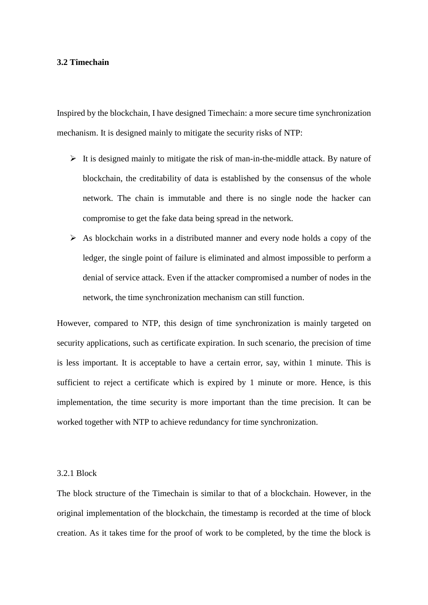#### <span id="page-22-0"></span>**3.2 Timechain**

Inspired by the blockchain, I have designed Timechain: a more secure time synchronization mechanism. It is designed mainly to mitigate the security risks of NTP:

- $\triangleright$  It is designed mainly to mitigate the risk of man-in-the-middle attack. By nature of blockchain, the creditability of data is established by the consensus of the whole network. The chain is immutable and there is no single node the hacker can compromise to get the fake data being spread in the network.
- $\triangleright$  As blockchain works in a distributed manner and every node holds a copy of the ledger, the single point of failure is eliminated and almost impossible to perform a denial of service attack. Even if the attacker compromised a number of nodes in the network, the time synchronization mechanism can still function.

However, compared to NTP, this design of time synchronization is mainly targeted on security applications, such as certificate expiration. In such scenario, the precision of time is less important. It is acceptable to have a certain error, say, within 1 minute. This is sufficient to reject a certificate which is expired by 1 minute or more. Hence, is this implementation, the time security is more important than the time precision. It can be worked together with NTP to achieve redundancy for time synchronization.

#### <span id="page-22-1"></span>3.2.1 Block

The block structure of the Timechain is similar to that of a blockchain. However, in the original implementation of the blockchain, the timestamp is recorded at the time of block creation. As it takes time for the proof of work to be completed, by the time the block is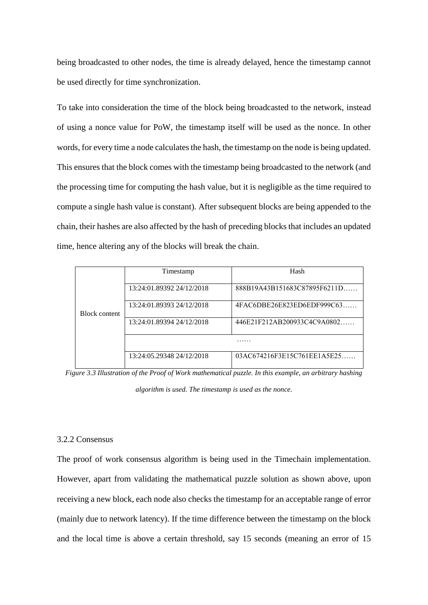being broadcasted to other nodes, the time is already delayed, hence the timestamp cannot be used directly for time synchronization.

To take into consideration the time of the block being broadcasted to the network, instead of using a nonce value for PoW, the timestamp itself will be used as the nonce. In other words, for every time a node calculates the hash, the timestamp on the node is being updated. This ensures that the block comes with the timestamp being broadcasted to the network (and the processing time for computing the hash value, but it is negligible as the time required to compute a single hash value is constant). After subsequent blocks are being appended to the chain, their hashes are also affected by the hash of preceding blocks that includes an updated time, hence altering any of the blocks will break the chain.

|                      | Timestamp                 | Hash                         |  |  |
|----------------------|---------------------------|------------------------------|--|--|
|                      | 13:24:01.89392 24/12/2018 | 888B19A43B151683C87895F6211D |  |  |
| <b>Block content</b> | 13:24:01.89393 24/12/2018 | $4FACODBE26E823ED6EDF999C63$ |  |  |
|                      | 13:24:01.89394 24/12/2018 | 446E21F212AB200933C4C9A0802  |  |  |
|                      |                           |                              |  |  |
|                      | 13:24:05.29348 24/12/2018 | 03AC674216F3E15C761EE1A5E25  |  |  |

*Figure 3.3 Illustration of the Proof of Work mathematical puzzle. In this example, an arbitrary hashing algorithm is used. The timestamp is used as the nonce.*

# <span id="page-23-0"></span>3.2.2 Consensus

The proof of work consensus algorithm is being used in the Timechain implementation. However, apart from validating the mathematical puzzle solution as shown above, upon receiving a new block, each node also checks the timestamp for an acceptable range of error (mainly due to network latency). If the time difference between the timestamp on the block and the local time is above a certain threshold, say 15 seconds (meaning an error of 15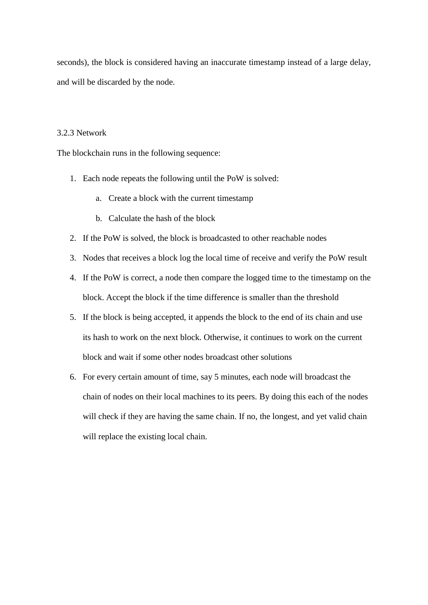seconds), the block is considered having an inaccurate timestamp instead of a large delay, and will be discarded by the node.

## <span id="page-24-0"></span>3.2.3 Network

The blockchain runs in the following sequence:

- 1. Each node repeats the following until the PoW is solved:
	- a. Create a block with the current timestamp
	- b. Calculate the hash of the block
- 2. If the PoW is solved, the block is broadcasted to other reachable nodes
- 3. Nodes that receives a block log the local time of receive and verify the PoW result
- 4. If the PoW is correct, a node then compare the logged time to the timestamp on the block. Accept the block if the time difference is smaller than the threshold
- 5. If the block is being accepted, it appends the block to the end of its chain and use its hash to work on the next block. Otherwise, it continues to work on the current block and wait if some other nodes broadcast other solutions
- 6. For every certain amount of time, say 5 minutes, each node will broadcast the chain of nodes on their local machines to its peers. By doing this each of the nodes will check if they are having the same chain. If no, the longest, and yet valid chain will replace the existing local chain.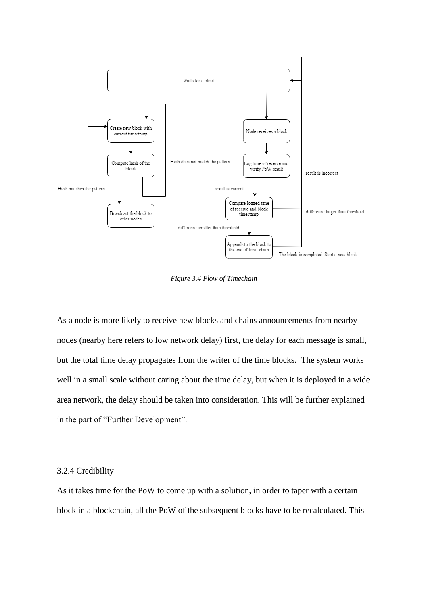

*Figure 3.4 Flow of Timechain*

As a node is more likely to receive new blocks and chains announcements from nearby nodes (nearby here refers to low network delay) first, the delay for each message is small, but the total time delay propagates from the writer of the time blocks. The system works well in a small scale without caring about the time delay, but when it is deployed in a wide area network, the delay should be taken into consideration. This will be further explained in the part of "Further Development".

## <span id="page-25-0"></span>3.2.4 Credibility

As it takes time for the PoW to come up with a solution, in order to taper with a certain block in a blockchain, all the PoW of the subsequent blocks have to be recalculated. This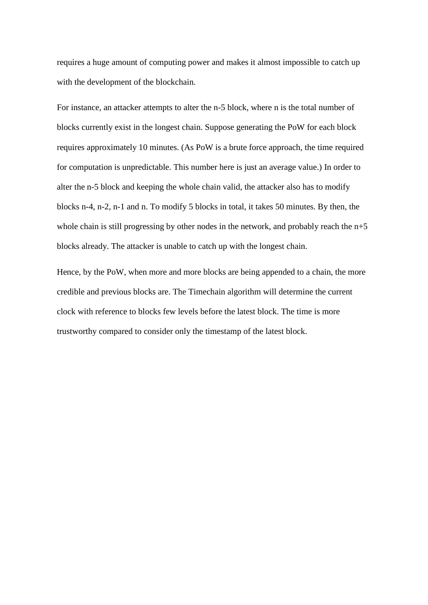requires a huge amount of computing power and makes it almost impossible to catch up with the development of the blockchain.

For instance, an attacker attempts to alter the n-5 block, where n is the total number of blocks currently exist in the longest chain. Suppose generating the PoW for each block requires approximately 10 minutes. (As PoW is a brute force approach, the time required for computation is unpredictable. This number here is just an average value.) In order to alter the n-5 block and keeping the whole chain valid, the attacker also has to modify blocks n-4, n-2, n-1 and n. To modify 5 blocks in total, it takes 50 minutes. By then, the whole chain is still progressing by other nodes in the network, and probably reach the  $n+5$ blocks already. The attacker is unable to catch up with the longest chain.

Hence, by the PoW, when more and more blocks are being appended to a chain, the more credible and previous blocks are. The Timechain algorithm will determine the current clock with reference to blocks few levels before the latest block. The time is more trustworthy compared to consider only the timestamp of the latest block.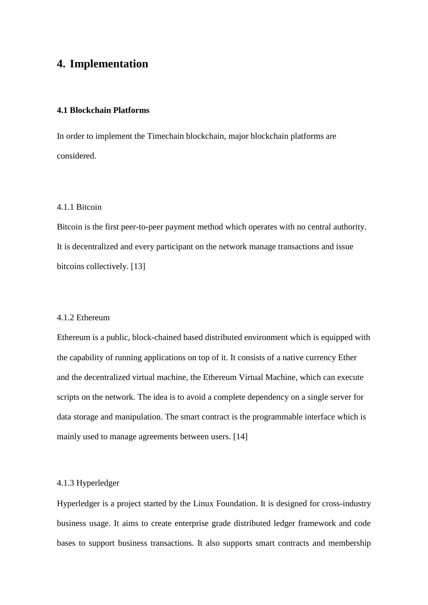# <span id="page-27-0"></span>**4. Implementation**

## <span id="page-27-1"></span>**4.1 Blockchain Platforms**

In order to implement the Timechain blockchain, major blockchain platforms are considered.

# <span id="page-27-2"></span>4.1.1 Bitcoin

Bitcoin is the first peer-to-peer payment method which operates with no central authority. It is decentralized and every participant on the network manage transactions and issue bitcoins collectively. [13]

#### <span id="page-27-3"></span>4.1.2 Ethereum

Ethereum is a public, block-chained based distributed environment which is equipped with the capability of running applications on top of it. It consists of a native currency Ether and the decentralized virtual machine, the Ethereum Virtual Machine, which can execute scripts on the network. The idea is to avoid a complete dependency on a single server for data storage and manipulation. The smart contract is the programmable interface which is mainly used to manage agreements between users. [14]

# 4.1.3 Hyperledger

Hyperledger is a project started by the Linux Foundation. It is designed for cross-industry business usage. It aims to create enterprise grade distributed ledger framework and code bases to support business transactions. It also supports smart contracts and membership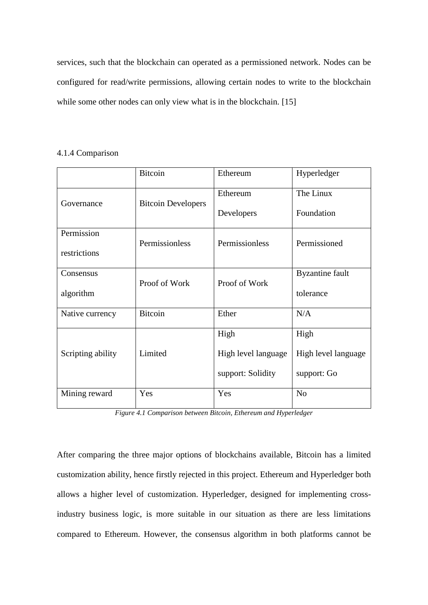services, such that the blockchain can operated as a permissioned network. Nodes can be configured for read/write permissions, allowing certain nodes to write to the blockchain while some other nodes can only view what is in the blockchain. [15]

#### <span id="page-28-0"></span>4.1.4 Comparison

|                   | <b>Bitcoin</b>            | Ethereum            | Hyperledger            |
|-------------------|---------------------------|---------------------|------------------------|
|                   |                           | Ethereum            | The Linux              |
| Governance        | <b>Bitcoin Developers</b> | Developers          | Foundation             |
| Permission        |                           |                     |                        |
| restrictions      | Permissionless            | Permissionless      | Permissioned           |
| Consensus         |                           |                     | <b>Byzantine</b> fault |
| algorithm         | Proof of Work             | Proof of Work       | tolerance              |
| Native currency   | <b>Bitcoin</b>            | Ether               | N/A                    |
|                   |                           | High                | High                   |
| Scripting ability | Limited                   | High level language | High level language    |
|                   |                           | support: Solidity   | support: Go            |
| Mining reward     | Yes                       | Yes                 | N <sub>o</sub>         |

*Figure 4.1 Comparison between Bitcoin, Ethereum and Hyperledger*

After comparing the three major options of blockchains available, Bitcoin has a limited customization ability, hence firstly rejected in this project. Ethereum and Hyperledger both allows a higher level of customization. Hyperledger, designed for implementing crossindustry business logic, is more suitable in our situation as there are less limitations compared to Ethereum. However, the consensus algorithm in both platforms cannot be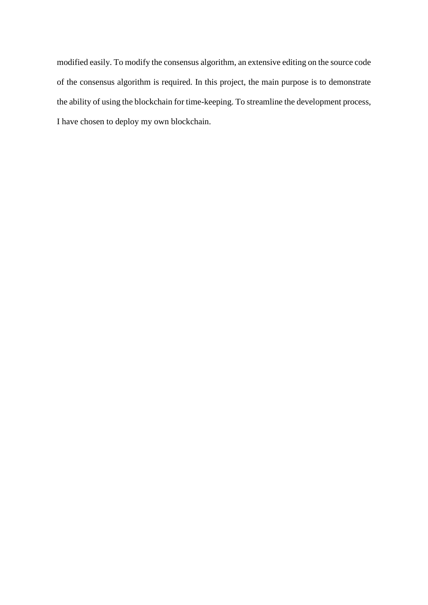modified easily. To modify the consensus algorithm, an extensive editing on the source code of the consensus algorithm is required. In this project, the main purpose is to demonstrate the ability of using the blockchain for time-keeping. To streamline the development process, I have chosen to deploy my own blockchain.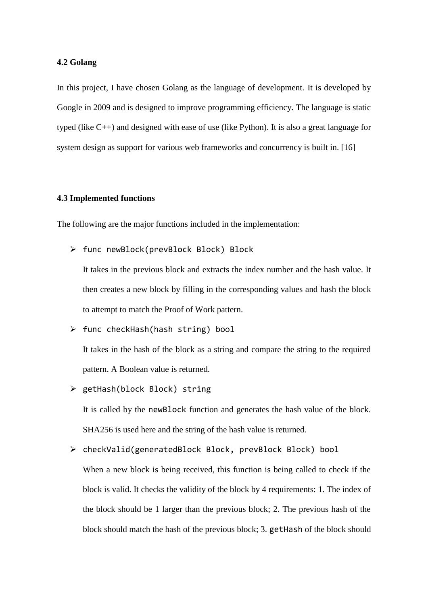#### <span id="page-30-0"></span>**4.2 Golang**

In this project, I have chosen Golang as the language of development. It is developed by Google in 2009 and is designed to improve programming efficiency. The language is static typed (like C++) and designed with ease of use (like Python). It is also a great language for system design as support for various web frameworks and concurrency is built in. [16]

#### <span id="page-30-1"></span>**4.3 Implemented functions**

The following are the major functions included in the implementation:

➢ func newBlock(prevBlock Block) Block

It takes in the previous block and extracts the index number and the hash value. It then creates a new block by filling in the corresponding values and hash the block to attempt to match the Proof of Work pattern.

- ➢ func checkHash(hash string) bool It takes in the hash of the block as a string and compare the string to the required pattern. A Boolean value is returned.
- ➢ getHash(block Block) string It is called by the newBlock function and generates the hash value of the block. SHA256 is used here and the string of the hash value is returned.
- ➢ checkValid(generatedBlock Block, prevBlock Block) bool When a new block is being received, this function is being called to check if the block is valid. It checks the validity of the block by 4 requirements: 1. The index of the block should be 1 larger than the previous block; 2. The previous hash of the block should match the hash of the previous block; 3. getHash of the block should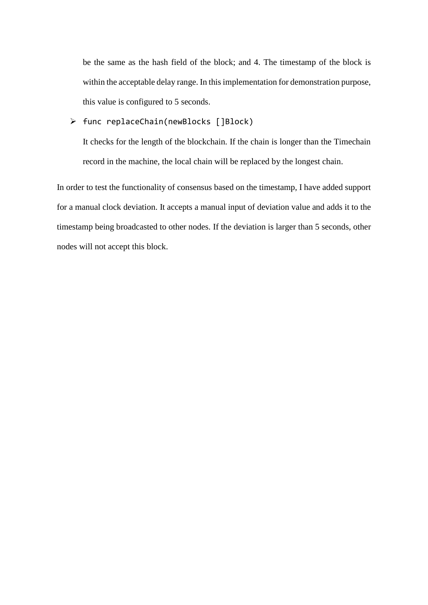be the same as the hash field of the block; and 4. The timestamp of the block is within the acceptable delay range. In this implementation for demonstration purpose, this value is configured to 5 seconds.

# ➢ func replaceChain(newBlocks []Block)

It checks for the length of the blockchain. If the chain is longer than the Timechain record in the machine, the local chain will be replaced by the longest chain.

In order to test the functionality of consensus based on the timestamp, I have added support for a manual clock deviation. It accepts a manual input of deviation value and adds it to the timestamp being broadcasted to other nodes. If the deviation is larger than 5 seconds, other nodes will not accept this block.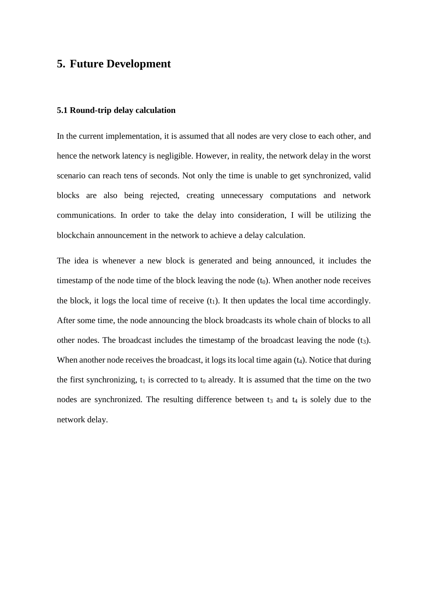# <span id="page-32-0"></span>**5. Future Development**

## <span id="page-32-1"></span>**5.1 Round-trip delay calculation**

In the current implementation, it is assumed that all nodes are very close to each other, and hence the network latency is negligible. However, in reality, the network delay in the worst scenario can reach tens of seconds. Not only the time is unable to get synchronized, valid blocks are also being rejected, creating unnecessary computations and network communications. In order to take the delay into consideration, I will be utilizing the blockchain announcement in the network to achieve a delay calculation.

The idea is whenever a new block is generated and being announced, it includes the timestamp of the node time of the block leaving the node  $(t_0)$ . When another node receives the block, it logs the local time of receive  $(t_1)$ . It then updates the local time accordingly. After some time, the node announcing the block broadcasts its whole chain of blocks to all other nodes. The broadcast includes the timestamp of the broadcast leaving the node  $(t<sub>3</sub>)$ . When another node receives the broadcast, it logs its local time again  $(t_4)$ . Notice that during the first synchronizing,  $t_1$  is corrected to  $t_0$  already. It is assumed that the time on the two nodes are synchronized. The resulting difference between  $t_3$  and  $t_4$  is solely due to the network delay.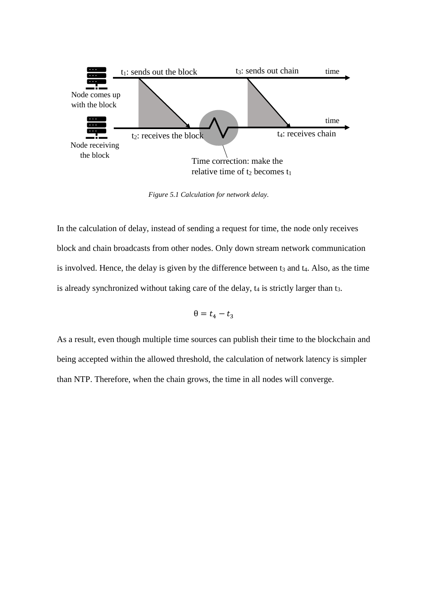

*Figure 5.1 Calculation for network delay.*

In the calculation of delay, instead of sending a request for time, the node only receives block and chain broadcasts from other nodes. Only down stream network communication is involved. Hence, the delay is given by the difference between  $t_3$  and  $t_4$ . Also, as the time is already synchronized without taking care of the delay,  $t_4$  is strictly larger than  $t_3$ .

$$
\theta = t_4 - t_3
$$

As a result, even though multiple time sources can publish their time to the blockchain and being accepted within the allowed threshold, the calculation of network latency is simpler than NTP. Therefore, when the chain grows, the time in all nodes will converge.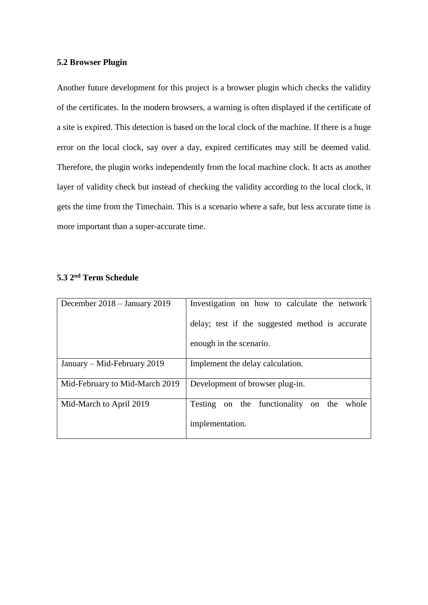## <span id="page-34-0"></span>**5.2 Browser Plugin**

Another future development for this project is a browser plugin which checks the validity of the certificates. In the modern browsers, a warning is often displayed if the certificate of a site is expired. This detection is based on the local clock of the machine. If there is a huge error on the local clock, say over a day, expired certificates may still be deemed valid. Therefore, the plugin works independently from the local machine clock. It acts as another layer of validity check but instead of checking the validity according to the local clock, it gets the time from the Timechain. This is a scenario where a safe, but less accurate time is more important than a super-accurate time.

| December $2018 -$ January 2019 | Investigation on how to calculate the network   |
|--------------------------------|-------------------------------------------------|
|                                | delay; test if the suggested method is accurate |
|                                | enough in the scenario.                         |
| January – Mid-February 2019    | Implement the delay calculation.                |
| Mid-February to Mid-March 2019 | Development of browser plug-in.                 |
| Mid-March to April 2019        | Testing on the functionality on the<br>whole    |
|                                | implementation.                                 |

## <span id="page-34-1"></span>**5.3 2 nd Term Schedule**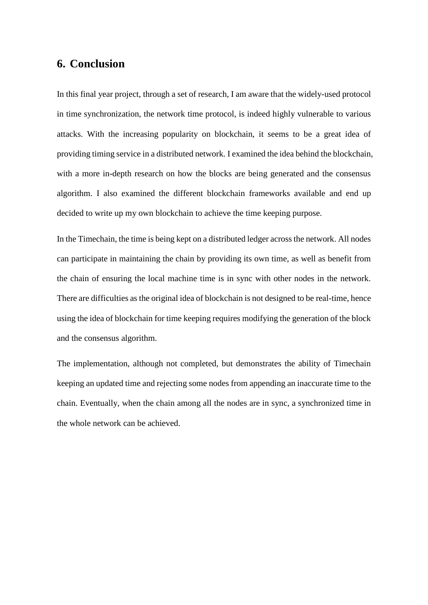# <span id="page-35-0"></span>**6. Conclusion**

In this final year project, through a set of research, I am aware that the widely-used protocol in time synchronization, the network time protocol, is indeed highly vulnerable to various attacks. With the increasing popularity on blockchain, it seems to be a great idea of providing timing service in a distributed network. I examined the idea behind the blockchain, with a more in-depth research on how the blocks are being generated and the consensus algorithm. I also examined the different blockchain frameworks available and end up decided to write up my own blockchain to achieve the time keeping purpose.

In the Timechain, the time is being kept on a distributed ledger across the network. All nodes can participate in maintaining the chain by providing its own time, as well as benefit from the chain of ensuring the local machine time is in sync with other nodes in the network. There are difficulties as the original idea of blockchain is not designed to be real-time, hence using the idea of blockchain for time keeping requires modifying the generation of the block and the consensus algorithm.

The implementation, although not completed, but demonstrates the ability of Timechain keeping an updated time and rejecting some nodes from appending an inaccurate time to the chain. Eventually, when the chain among all the nodes are in sync, a synchronized time in the whole network can be achieved.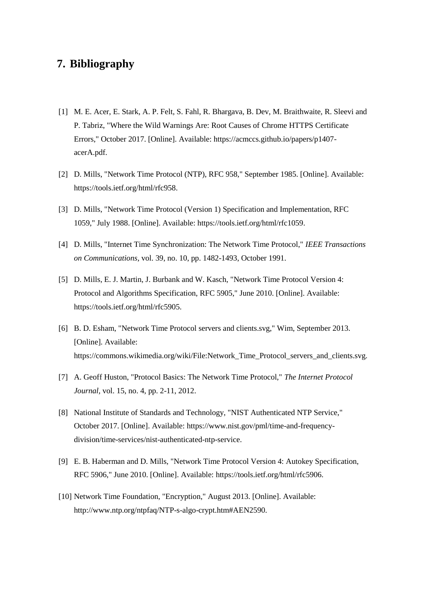# <span id="page-36-0"></span>**7. Bibliography**

- [1] M. E. Acer, E. Stark, A. P. Felt, S. Fahl, R. Bhargava, B. Dev, M. Braithwaite, R. Sleevi and P. Tabriz, "Where the Wild Warnings Are: Root Causes of Chrome HTTPS Certificate Errors," October 2017. [Online]. Available: https://acmccs.github.io/papers/p1407 acerA.pdf.
- [2] D. Mills, "Network Time Protocol (NTP), RFC 958," September 1985. [Online]. Available: https://tools.ietf.org/html/rfc958.
- [3] D. Mills, "Network Time Protocol (Version 1) Specification and Implementation, RFC 1059," July 1988. [Online]. Available: https://tools.ietf.org/html/rfc1059.
- [4] D. Mills, "Internet Time Synchronization: The Network Time Protocol," *IEEE Transactions on Communications,* vol. 39, no. 10, pp. 1482-1493, October 1991.
- [5] D. Mills, E. J. Martin, J. Burbank and W. Kasch, "Network Time Protocol Version 4: Protocol and Algorithms Specification, RFC 5905," June 2010. [Online]. Available: https://tools.ietf.org/html/rfc5905.
- [6] B. D. Esham, "Network Time Protocol servers and clients.svg," Wim, September 2013. [Online]. Available: https://commons.wikimedia.org/wiki/File:Network\_Time\_Protocol\_servers\_and\_clients.svg.
- [7] A. Geoff Huston, "Protocol Basics: The Network Time Protocol," *The Internet Protocol Journal,* vol. 15, no. 4, pp. 2-11, 2012.
- [8] National Institute of Standards and Technology, "NIST Authenticated NTP Service," October 2017. [Online]. Available: https://www.nist.gov/pml/time-and-frequencydivision/time-services/nist-authenticated-ntp-service.
- [9] E. B. Haberman and D. Mills, "Network Time Protocol Version 4: Autokey Specification, RFC 5906," June 2010. [Online]. Available: https://tools.ietf.org/html/rfc5906.
- [10] Network Time Foundation, "Encryption," August 2013. [Online]. Available: http://www.ntp.org/ntpfaq/NTP-s-algo-crypt.htm#AEN2590.